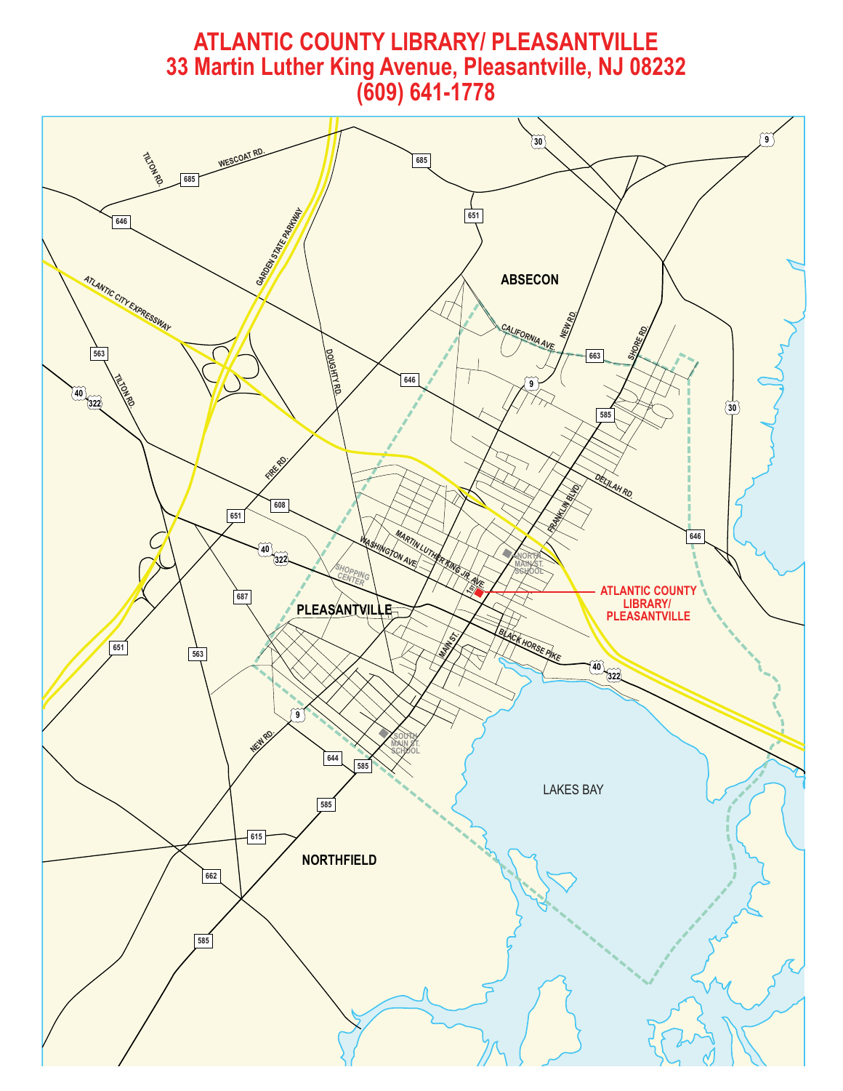# **Martin Luther King Avenue, Pleasantville, NJ 082 33 Martin Luther King Avenue, Pleasantville, NJ 08232**